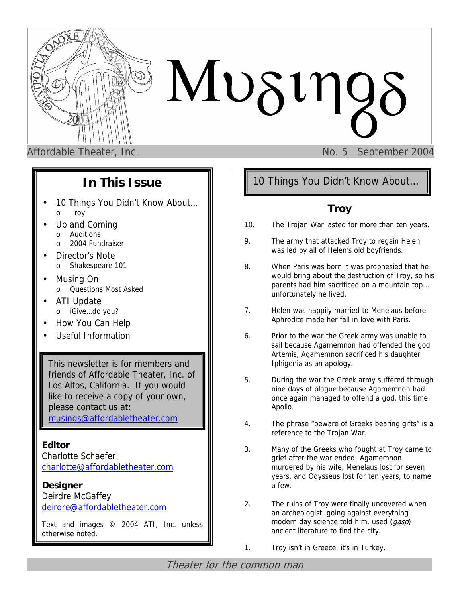

# $Mv\delta v\eta$

Affordable Theater, Inc. No. 5 September 2004

# **In This Issue**

- 10 Things You Didn't Know About... o Troy
- Up and Coming
	- o Auditions
	- o 2004 Fundraiser
- Director's Note
	- o Shakespeare 101
- Musing On o Questions Most Asked
- ATI Update
	- o iGive…do you?
- How You Can Help
- Useful Information

This newsletter is for members and friends of Affordable Theater, Inc. of Los Altos, California. If you would like to receive a copy of your own, please contact us at: [musings@affordabletheater.com](mailto:musings@affordabletheater.com)

**Editor**  Charlotte Schaefer [charlotte@affordabletheater.com](mailto:charlotte@affordabletheater.com)

**Designer** Deirdre McGaffey [deirdre@affordabletheater.com](mailto:deirdre@affordabletheater.com)

Text and images © 2004 ATI, Inc. unless otherwise noted.

10 Things You Didn't Know About…

# **Troy**

- 10. The Trojan War lasted for more than ten years.
- 9. The army that attacked Troy to regain Helen was led by all of Helen's old boyfriends.
- 8. When Paris was born it was prophesied that he would bring about the destruction of Troy, so his parents had him sacrificed on a mountain top… unfortunately he lived.
- 7. Helen was happily married to Menelaus before Aphrodite made her fall in love with Paris.
- 6. Prior to the war the Greek army was unable to sail because Agamemnon had offended the god Artemis, Agamemnon sacrificed his daughter Iphigenia as an apology.
- 5. During the war the Greek army suffered through nine days of plague because Agamemnon had once again managed to offend a god, this time Apollo.
- 4. The phrase "beware of Greeks bearing gifts" is a reference to the Trojan War.
- 3. Many of the Greeks who fought at Troy came to grief after the war ended: Agamemnon murdered by his wife, Menelaus lost for seven years, and Odysseus lost for ten years, to name a few.
- 2. The ruins of Troy were finally uncovered when an archeologist, going against everything modern day science told him, used (*gasp*) ancient literature to find the city.
- 1. Troy isn't in Greece, it's in Turkey.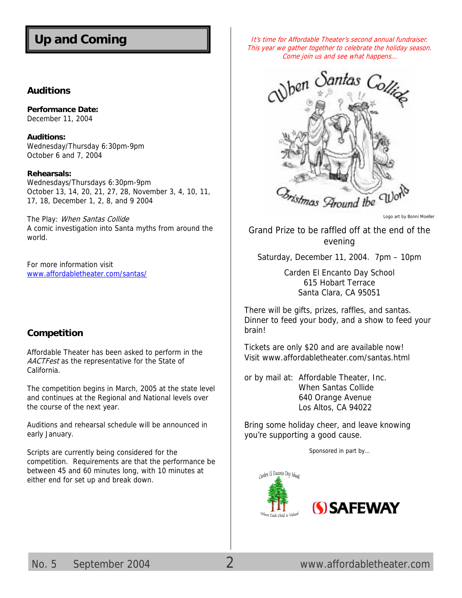# **Up and Coming**

#### **Auditions**

**Performance Date:**  December 11, 2004

**Auditions:**  Wednesday/Thursday 6:30pm-9pm October 6 and 7, 2004

#### **Rehearsals:**

Wednesdays/Thursdays 6:30pm-9pm October 13, 14, 20, 21, 27, 28, November 3, 4, 10, 11, 17, 18, December 1, 2, 8, and 9 2004

The Play: When Santas Collide A comic investigation into Santa myths from around the world.

For more information visit [www.affordabletheater.com/santas/](http://www.affordabletheater.com/santas/)

#### **Competition**

Affordable Theater has been asked to perform in the AACTFest as the representative for the State of California.

The competition begins in March, 2005 at the state level and continues at the Regional and National levels over the course of the next year.

Auditions and rehearsal schedule will be announced in early January.

Scripts are currently being considered for the competition. Requirements are that the performance be between 45 and 60 minutes long, with 10 minutes at either end for set up and break down.

It's time for Affordable Theater's second annual fundraiser. This year we gather together to celebrate the holiday season. Come join us and see what happens…



Logo art by Bonni Moeller

Grand Prize to be raffled off at the end of the evening

Saturday, December 11, 2004. 7pm – 10pm

Carden El Encanto Day School 615 Hobart Terrace Santa Clara, CA 95051

There will be gifts, prizes, raffles, and santas. Dinner to feed your body, and a show to feed your brain!

Tickets are only \$20 and are available now! Visit [www.affordabletheater.com/santas.html](http://www.affordabletheater.com/santas.html) 

or by mail at: Affordable Theater, Inc. When Santas Collide 640 Orange Avenue Los Altos, CA 94022

Bring some holiday cheer, and leave knowing you're supporting a good cause.

Sponsored in part by…



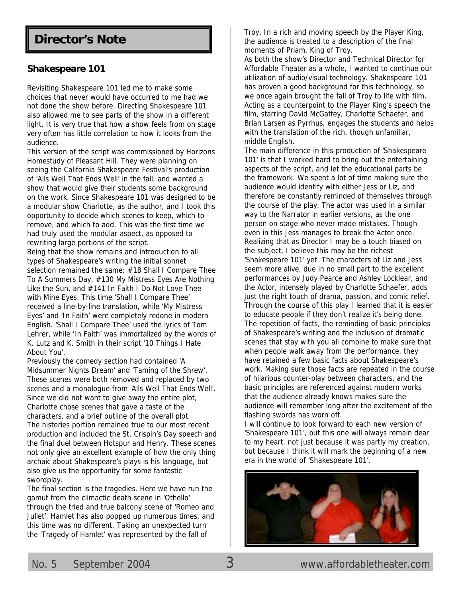# **Director's Note**

#### **Shakespeare 101**

Revisiting Shakespeare 101 led me to make some choices that never would have occurred to me had we not done the show before. Directing Shakespeare 101 also allowed me to see parts of the show in a different light. It is very true that how a show feels from on stage very often has little correlation to how it looks from the audience.

This version of the script was commissioned by Horizons Homestudy of Pleasant Hill. They were planning on seeing the California Shakespeare Festival's production of 'Alls Well That Ends Well' in the fall, and wanted a show that would give their students some background on the work. Since Shakespeare 101 was designed to be a modular show Charlotte, as the author, and I took this opportunity to decide which scenes to keep, which to remove, and which to add. This was the first time we had truly used the modular aspect, as opposed to rewriting large portions of the script.

Being that the show remains and introduction to all types of Shakespeare's writing the initial sonnet selection remained the same: #18 Shall I Compare Thee To A Summers Day, #130 My Mistress Eyes Are Nothing Like the Sun, and #141 In Faith I Do Not Love Thee with Mine Eyes. This time 'Shall I Compare Thee' received a line-by-line translation, while 'My Mistress Eyes' and 'In Faith' were completely redone in modern English. 'Shall I Compare Thee' used the lyrics of Tom Lehrer, while 'In Faith' was immortalized by the words of K. Lutz and K. Smith in their script '10 Things I Hate About You'.

Previously the comedy section had contained 'A Midsummer Nights Dream' and 'Taming of the Shrew'. These scenes were both removed and replaced by two scenes and a monologue from 'Alls Well That Ends Well'. Since we did not want to give away the entire plot, Charlotte chose scenes that gave a taste of the characters, and a brief outline of the overall plot. The histories portion remained true to our most recent production and included the St. Crispin's Day speech and the final duel between Hotspur and Henry. These scenes not only give an excellent example of how the only thing archaic about Shakespeare's plays is his language, but also give us the opportunity for some fantastic swordplay.

The final section is the tragedies. Here we have run the gamut from the climactic death scene in 'Othello' through the tried and true balcony scene of 'Romeo and Juliet'. Hamlet has also popped up numerous times, and this time was no different. Taking an unexpected turn the 'Tragedy of Hamlet' was represented by the fall of

Troy. In a rich and moving speech by the Player King, the audience is treated to a description of the final moments of Priam, King of Troy.

As both the show's Director and Technical Director for Affordable Theater as a whole, I wanted to continue our utilization of audio/visual technology. Shakespeare 101 has proven a good background for this technology, so we once again brought the fall of Troy to life with film. Acting as a counterpoint to the Player King's speech the film, starring David McGaffey, Charlotte Schaefer, and Brian Larsen as Pyrrhus, engages the students and helps with the translation of the rich, though unfamiliar, middle English.

The main difference in this production of 'Shakespeare 101' is that I worked hard to bring out the entertaining aspects of the script, and let the educational parts be the framework. We spent a lot of time making sure the audience would identify with either Jess or Liz, and therefore be constantly reminded of themselves through the course of the play. The actor was used in a similar way to the Narrator in earlier versions, as the one person on stage who never made mistakes. Though even in this Jess manages to break the Actor once. Realizing that as Director I may be a touch biased on the subject, I believe this may be the richest 'Shakespeare 101' yet. The characters of Liz and Jess seem more alive, due in no small part to the excellent performances by Judy Pearce and Ashley Locklear, and the Actor, intensely played by Charlotte Schaefer, adds just the right touch of drama, passion, and comic relief. Through the course of this play I learned that it is easier to educate people if they don't realize it's being done. The repetition of facts, the reminding of basic principles of Shakespeare's writing and the inclusion of dramatic scenes that stay with you all combine to make sure that when people walk away from the performance, they have retained a few basic facts about Shakespeare's work. Making sure those facts are repeated in the course of hilarious counter-play between characters, and the basic principles are referenced against modern works that the audience already knows makes sure the audience will remember long after the excitement of the flashing swords has worn off.

I will continue to look forward to each new version of 'Shakespeare 101', but this one will always remain dear to my heart, not just because it was partly my creation, but because I think it will mark the beginning of a new era in the world of 'Shakespeare 101'.

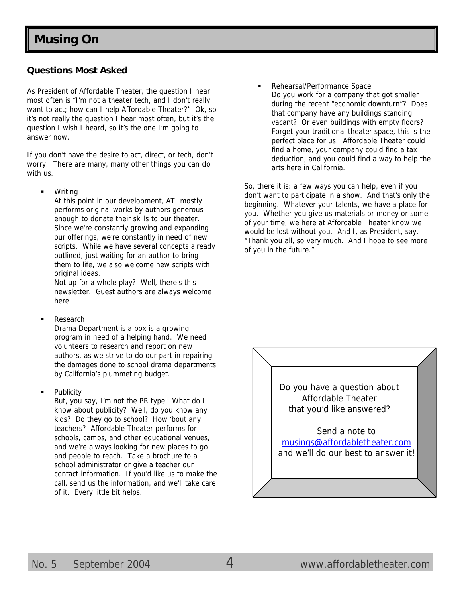### **Questions Most Asked**

As President of Affordable Theater, the question I hear most often is "I'm not a theater tech, and I don't really want to act; how can I help Affordable Theater?" Ok, so it's not really the question I hear most often, but it's the question I wish I heard, so it's the one I'm going to answer now.

If you don't have the desire to act, direct, or tech, don't worry. There are many, many other things you can do with us.

**Writing** 

At this point in our development, ATI mostly performs original works by authors generous enough to donate their skills to our theater. Since we're constantly growing and expanding our offerings, we're constantly in need of new scripts. While we have several concepts already outlined, just waiting for an author to bring them to life, we also welcome new scripts with original ideas.

Not up for a whole play? Well, there's this newsletter. Guest authors are always welcome here.

**Research** 

Drama Department is a box is a growing program in need of a helping hand. We need volunteers to research and report on new authors, as we strive to do our part in repairing the damages done to school drama departments by California's plummeting budget.

**Publicity** 

But, you say, I'm not the PR type. What do I know about publicity? Well, do you know any kids? Do they go to school? How 'bout any teachers? Affordable Theater performs for schools, camps, and other educational venues, and we're always looking for new places to go and people to reach. Take a brochure to a school administrator or give a teacher our contact information. If you'd like us to make the call, send us the information, and we'll take care of it. Every little bit helps.

Rehearsal/Performance Space Do you work for a company that got smaller during the recent "economic downturn"? Does that company have any buildings standing vacant? Or even buildings with empty floors? Forget your traditional theater space, this is the perfect place for us. Affordable Theater could find a home, your company could find a tax deduction, and you could find a way to help the arts here in California.

So, there it is: a few ways you can help, even if you don't want to participate in a show. And that's only the beginning. Whatever your talents, we have a place for you. Whether you give us materials or money or some of your time, we here at Affordable Theater know we would be lost without you. And I, as President, say, "Thank you all, so very much. And I hope to see more of you in the future."